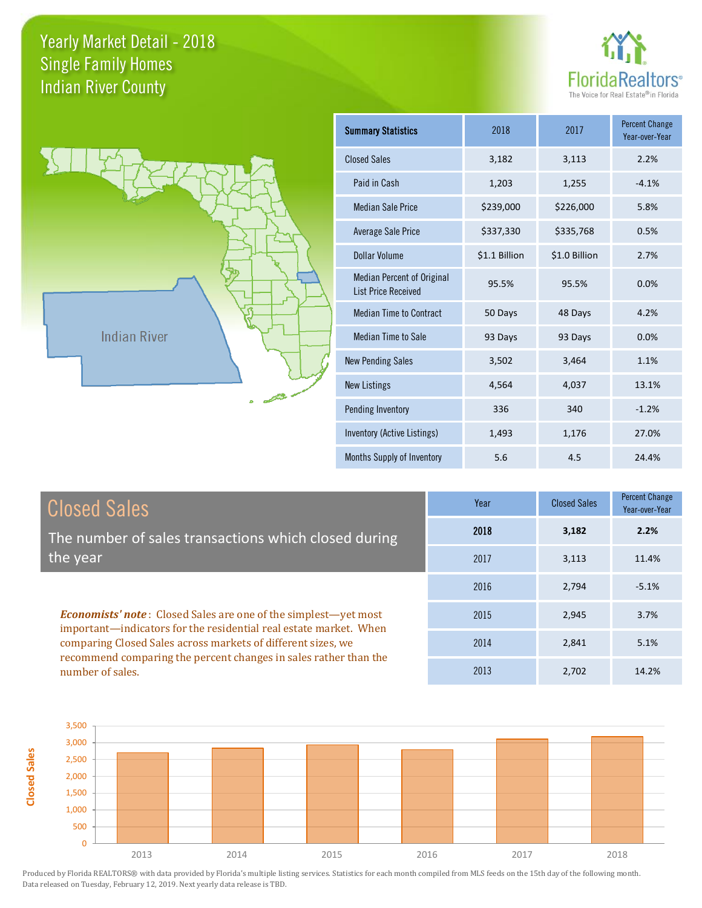



| <b>Summary Statistics</b>                                       | 2018          | 2017          | <b>Percent Change</b><br>Year-over-Year |
|-----------------------------------------------------------------|---------------|---------------|-----------------------------------------|
| <b>Closed Sales</b>                                             | 3,182         | 3,113         | 2.2%                                    |
| Paid in Cash                                                    | 1,203         | 1,255         | $-4.1%$                                 |
| <b>Median Sale Price</b>                                        | \$239,000     | \$226,000     | 5.8%                                    |
| <b>Average Sale Price</b>                                       | \$337,330     | \$335,768     | 0.5%                                    |
| Dollar Volume                                                   | \$1.1 Billion | \$1.0 Billion | 2.7%                                    |
| <b>Median Percent of Original</b><br><b>List Price Received</b> | 95.5%         | 95.5%         | 0.0%                                    |
| <b>Median Time to Contract</b>                                  | 50 Days       | 48 Days       | 4.2%                                    |
| <b>Median Time to Sale</b>                                      | 93 Days       | 93 Days       | 0.0%                                    |
| <b>New Pending Sales</b>                                        | 3,502         | 3,464         | 1.1%                                    |
| <b>New Listings</b>                                             | 4,564         | 4,037         | 13.1%                                   |
| <b>Pending Inventory</b>                                        | 336           | 340           | $-1.2%$                                 |
| <b>Inventory (Active Listings)</b>                              | 1,493         | 1,176         | 27.0%                                   |
| Months Supply of Inventory                                      | 5.6           | 4.5           | 24.4%                                   |

| <b>Closed Sales</b>                                                                                                                                                                                         | Year | <b>Closed Sales</b> | <b>Percent Change</b><br>Year-over-Year |
|-------------------------------------------------------------------------------------------------------------------------------------------------------------------------------------------------------------|------|---------------------|-----------------------------------------|
| The number of sales transactions which closed during                                                                                                                                                        | 2018 | 3,182               | 2.2%                                    |
| the year                                                                                                                                                                                                    | 2017 | 3,113               | 11.4%                                   |
|                                                                                                                                                                                                             | 2016 | 2,794               | $-5.1%$                                 |
| <b>Economists' note:</b> Closed Sales are one of the simplest—yet most<br>important-indicators for the residential real estate market. When<br>comparing Closed Sales across markets of different sizes, we | 2015 | 2,945               | 3.7%                                    |
|                                                                                                                                                                                                             | 2014 | 2,841               | 5.1%                                    |
| recommend comparing the percent changes in sales rather than the<br>number of sales.                                                                                                                        | 2013 | 2,702               | 14.2%                                   |

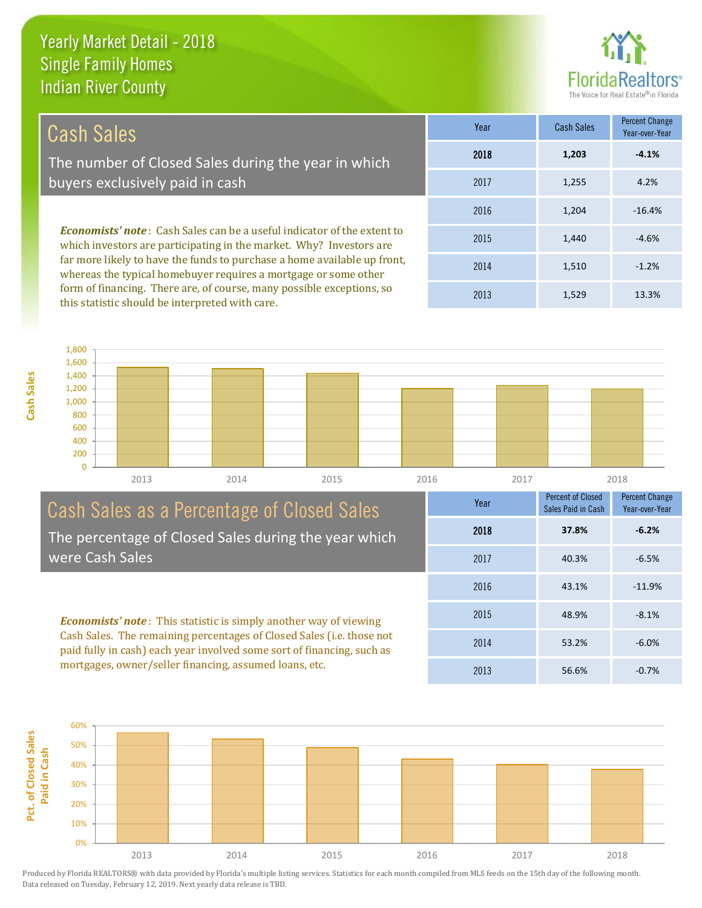

40.3% -6.5%

Percent Change Year-over-Year

Percent of Closed Sales Paid in Cash

2018 **37.8% -6.2%**

43.1% -11.9%

48.9% -8.1%

53.2% -6.0%

2016

2017

Year

2015

2014

2013

56.6% -0.7%

| Cash Sales                                                                                                                                            | Year | <b>Cash Sales</b> | <b>Percent Change</b><br>Year-over-Year |
|-------------------------------------------------------------------------------------------------------------------------------------------------------|------|-------------------|-----------------------------------------|
| The number of Closed Sales during the year in which                                                                                                   | 2018 | 1,203             | $-4.1%$                                 |
| buyers exclusively paid in cash                                                                                                                       | 2017 | 1,255             | 4.2%                                    |
|                                                                                                                                                       | 2016 | 1.204             | $-16.4%$                                |
| <b>Economists' note:</b> Cash Sales can be a useful indicator of the extent to<br>which investors are participating in the market. Why? Investors are | 2015 | 1,440             | $-4.6%$                                 |
| far more likely to have the funds to purchase a home available up front,<br>whereas the typical homebuyer requires a mortgage or some other           | 2014 | 1,510             | $-1.2%$                                 |

this statistic should be interpreted with care. 1,529 13.3% 2013 1,400 1,600 1,800



#### Cash Sales as a Percentage of Closed Sales The percentage of Closed Sales during the year which were Cash Sales

form of financing. There are, of course, many possible exceptions, so

*Economists' note* : This statistic is simply another way of viewing Cash Sales. The remaining percentages of Closed Sales (i.e. those not paid fully in cash) each year involved some sort of financing, such as mortgages, owner/seller financing, assumed loans, etc.

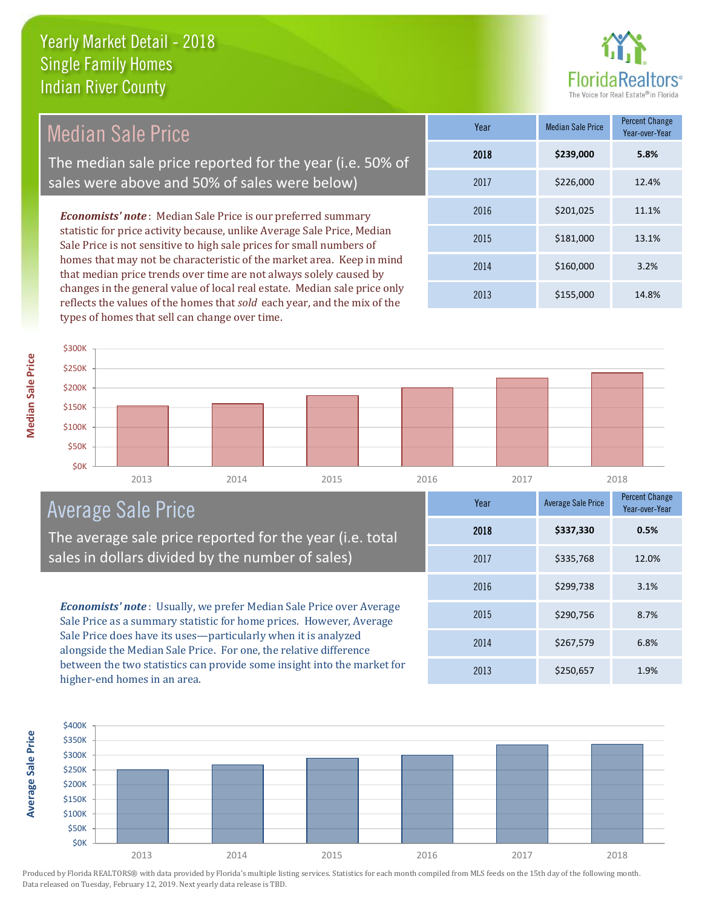

| <b>Median Sale Price</b>                                                                                                                                                                                                                                                                       | Year | <b>Median Sale Price</b> | <b>Percent Change</b><br>Year-over-Year |
|------------------------------------------------------------------------------------------------------------------------------------------------------------------------------------------------------------------------------------------------------------------------------------------------|------|--------------------------|-----------------------------------------|
| The median sale price reported for the year (i.e. 50% of                                                                                                                                                                                                                                       | 2018 | \$239,000                | 5.8%                                    |
| sales were above and 50% of sales were below)                                                                                                                                                                                                                                                  | 2017 | \$226,000                | 12.4%                                   |
| <b>Economists' note:</b> Median Sale Price is our preferred summary                                                                                                                                                                                                                            | 2016 | \$201,025                | 11.1%                                   |
| statistic for price activity because, unlike Average Sale Price, Median<br>Sale Price is not sensitive to high sale prices for small numbers of<br>homes that may not be characteristic of the market area. Keep in mind<br>that median price trends over time are not always solely caused by | 2015 | \$181,000                | 13.1%                                   |
|                                                                                                                                                                                                                                                                                                | 2014 | \$160,000                | 3.2%                                    |
| changes in the general value of local real estate. Median sale price only<br>$\alpha$ , and $\alpha$ and $\alpha$ and $\alpha$ and $\alpha$ and $\alpha$                                                                                                                                       | 2013 | \$155,000                | 14.8%                                   |



## Average Sale Price

The average sale price reported for the year (i.e. total sales in dollars divided by the number of sales)

reflects the values of the homes that *sold* each year, and the mix of the

types of homes that sell can change over time.

*Economists' note* : Usually, we prefer Median Sale Price over Average Sale Price as a summary statistic for home prices. However, Average Sale Price does have its uses—particularly when it is analyzed alongside the Median Sale Price. For one, the relative difference between the two statistics can provide some insight into the market for higher-end homes in an area.





**Median Sale Price**

**Median Sale Price**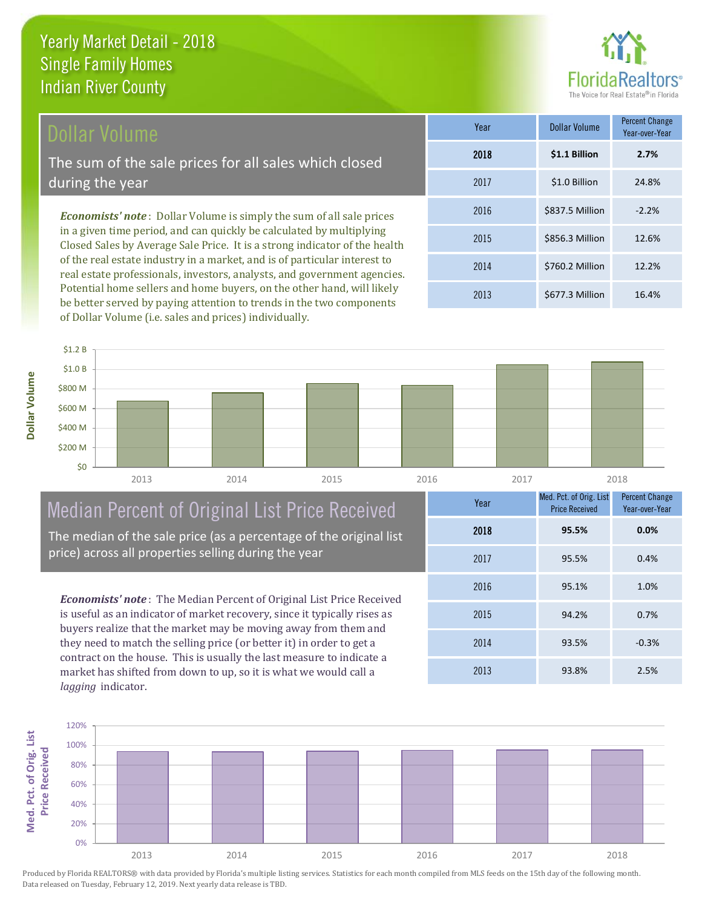

### Dollar Volume

The sum of the sale prices for all sales which closed during the year

*Economists' note* : Dollar Volume is simply the sum of all sale prices in a given time period, and can quickly be calculated by multiplying Closed Sales by Average Sale Price. It is a strong indicator of the health of the real estate industry in a market, and is of particular interest to real estate professionals, investors, analysts, and government agencies. Potential home sellers and home buyers, on the other hand, will likely be better served by paying attention to trends in the two components of Dollar Volume (i.e. sales and prices) individually.

| Year | Dollar Volume   | <b>Percent Change</b><br>Year-over-Year |
|------|-----------------|-----------------------------------------|
| 2018 | \$1.1 Billion   | 2.7%                                    |
| 2017 | \$1.0 Billion   | 24.8%                                   |
| 2016 | \$837.5 Million | $-2.2%$                                 |
| 2015 | \$856.3 Million | 12.6%                                   |
| 2014 | \$760.2 Million | 12.2%                                   |
| 2013 | \$677.3 Million | 16.4%                                   |

**Dollar Volume**



# Median Percent of Original List Price Received

The median of the sale price (as a percentage of the original list price) across all properties selling during the year

*Economists' note* : The Median Percent of Original List Price Received is useful as an indicator of market recovery, since it typically rises as buyers realize that the market may be moving away from them and they need to match the selling price (or better it) in order to get a contract on the house. This is usually the last measure to indicate a market has shifted from down to up, so it is what we would call a *lagging* indicator.

| Year | Med. Pct. of Orig. List<br><b>Price Received</b> | <b>Percent Change</b><br>Year-over-Year |
|------|--------------------------------------------------|-----------------------------------------|
| 2018 | 95.5%                                            | 0.0%                                    |
| 2017 | 95.5%                                            | 0.4%                                    |
| 2016 | 95.1%                                            | 1.0%                                    |
| 2015 | 94.2%                                            | 0.7%                                    |
| 2014 | 93.5%                                            | $-0.3%$                                 |
| 2013 | 93.8%                                            | 2.5%                                    |

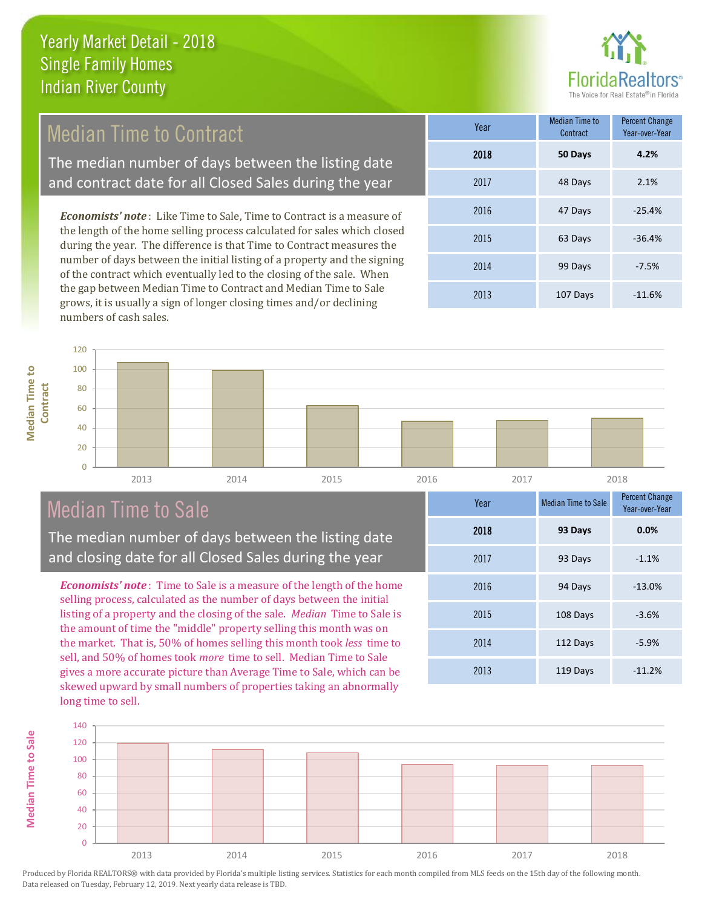

## Median Time to Contract

The median number of days between the listing date and contract date for all Closed Sales during the year

*Economists' note* : Like Time to Sale, Time to Contract is a measure of the length of the home selling process calculated for sales which closed during the year. The difference is that Time to Contract measures the number of days between the initial listing of a property and the signing of the contract which eventually led to the closing of the sale. When the gap between Median Time to Contract and Median Time to Sale grows, it is usually a sign of longer closing times and/or declining numbers of cash sales.

| Year | <b>Median Time to</b><br>Contract | <b>Percent Change</b><br>Year-over-Year |
|------|-----------------------------------|-----------------------------------------|
| 2018 | 50 Days                           | 4.2%                                    |
| 2017 | 48 Days                           | 2.1%                                    |
| 2016 | 47 Days                           | $-25.4%$                                |
| 2015 | 63 Days                           | $-36.4%$                                |
| 2014 | 99 Days                           | $-7.5%$                                 |
| 2013 | 107 Days                          | $-11.6%$                                |

**Median Time to Median Time to Contract**

**Median Time to Sale**

**Median Time to Sale** 



## Median Time to Sale

The median number of days between the listing date and closing date for all Closed Sales during the year

*Economists' note* : Time to Sale is a measure of the length of the home selling process, calculated as the number of days between the initial listing of a property and the closing of the sale. *Median* Time to Sale is the amount of time the "middle" property selling this month was on the market. That is, 50% of homes selling this month took *less* time to sell, and 50% of homes took *more* time to sell. Median Time to Sale gives a more accurate picture than Average Time to Sale, which can be skewed upward by small numbers of properties taking an abnormally long time to sell.

| Year | <b>Median Time to Sale</b> | <b>Percent Change</b><br>Year-over-Year |
|------|----------------------------|-----------------------------------------|
| 2018 | 93 Days                    | 0.0%                                    |
| 2017 | 93 Days                    | $-1.1%$                                 |
| 2016 | 94 Days                    | $-13.0%$                                |
| 2015 | 108 Days                   | $-3.6%$                                 |
| 2014 | 112 Days                   | $-5.9%$                                 |
| 2013 | 119 Days                   | $-11.2%$                                |

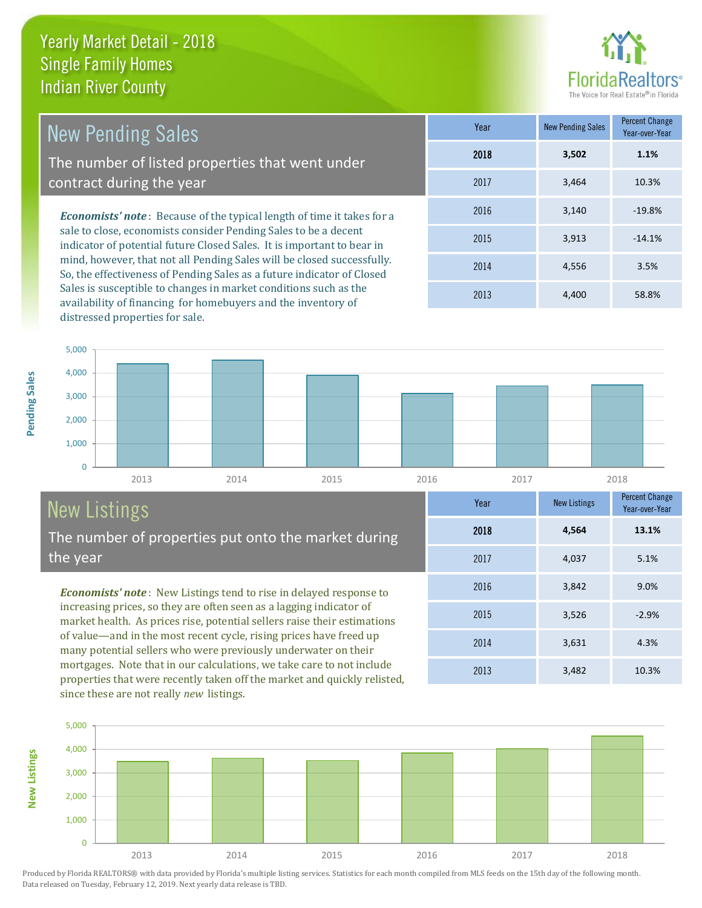

2013 3,482 10.3%

2014 3,631 4.3%

2015 3,526 -2.9%

2016 3,842 9.0%

2017 4,037 5.1%

2018 **4,564**

**Year** New Listings Percent Change

2013 4,400 58.8%

**13.1%**

Year-over-Year

| <b>New Pending Sales</b>                                                                                                                         | Year | New Pending Sales | Percent Change<br>Year-over-Year |
|--------------------------------------------------------------------------------------------------------------------------------------------------|------|-------------------|----------------------------------|
| The number of listed properties that went under                                                                                                  | 2018 | 3,502             | 1.1%                             |
| contract during the year                                                                                                                         | 2017 | 3.464             | 10.3%                            |
| <b>Economists' note</b> : Because of the typical length of time it takes for a                                                                   | 2016 | 3,140             | $-19.8%$                         |
| sale to close, economists consider Pending Sales to be a decent<br>indicator of potential future Closed Sales. It is important to bear in        | 2015 | 3,913             | $-14.1%$                         |
| mind, however, that not all Pending Sales will be closed successfully.<br>Cartha effectiveness of Dougling Color as a future indicator of Closed | 2014 | 4.556             | 3.5%                             |

So, the effectiveness of Pending Sales as a future indicator of Closed Sales is susceptible to changes in market conditions such as the availability of financing for homebuyers and the inventory of distressed properties for sale.

0 1,000 2,000 3,000 4,000 5,000

2013 2014 2015 2016 2017 2018

# New Listings

The number of properties put onto the market during the year

*Economists' note* : New Listings tend to rise in delayed response to increasing prices, so they are often seen as a lagging indicator of market health. As prices rise, potential sellers raise their estimations of value—and in the most recent cycle, rising prices have freed up many potential sellers who were previously underwater on their mortgages. Note that in our calculations, we take care to not include properties that were recently taken off the market and quickly relisted, since these are not really *new* listings.



Produced by Florida REALTORS® with data provided by Florida's multiple listing services. Statistics for each month compiled from MLS feeds on the 15th day of the following month. Data released on Tuesday, February 12, 2019. Next yearly data release is TBD.

**New Listings**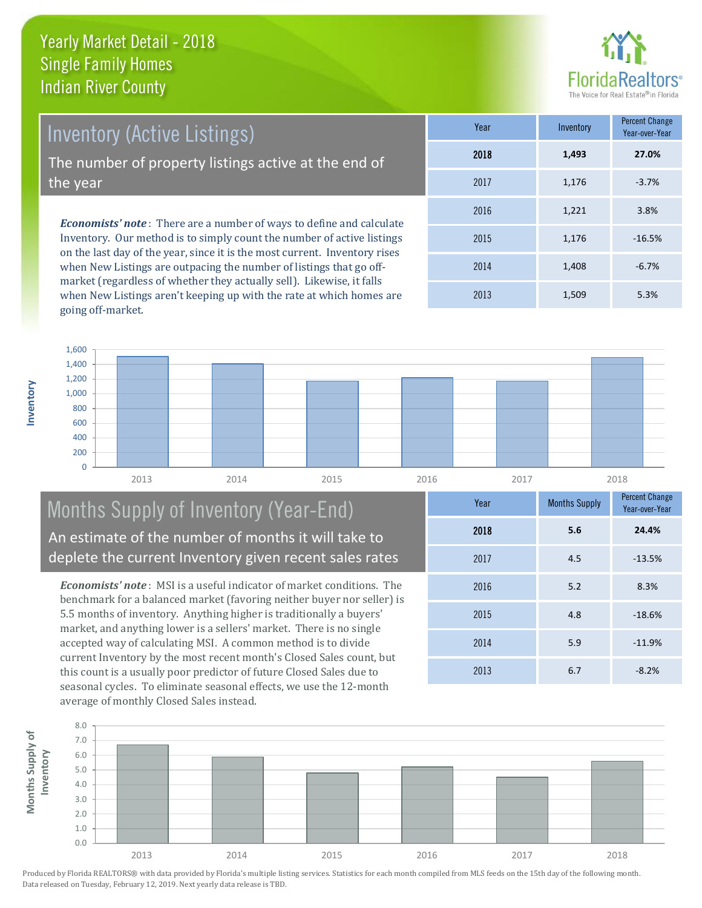

*Economists' note* : There are a number of ways to define and calculate Inventory. Our method is to simply count the number of active listings Inventory (Active Listings) The number of property listings active at the end of the year

on the last day of the year, since it is the most current. Inventory rises when New Listings are outpacing the number of listings that go offmarket (regardless of whether they actually sell). Likewise, it falls when New Listings aren't keeping up with the rate at which homes are going off-market.

| Year | Inventory | <b>Percent Change</b><br>Year-over-Year |
|------|-----------|-----------------------------------------|
| 2018 | 1,493     | 27.0%                                   |
| 2017 | 1,176     | $-3.7%$                                 |
| 2016 | 1,221     | 3.8%                                    |
| 2015 | 1,176     | $-16.5%$                                |
| 2014 | 1,408     | $-6.7%$                                 |
| 2013 | 1,509     | 5.3%                                    |



#### Months Supply of Inventory (Year-End) An estimate of the number of months it will take to deplete the current Inventory given recent sales rates

*Economists' note* : MSI is a useful indicator of market conditions. The benchmark for a balanced market (favoring neither buyer nor seller) is 5.5 months of inventory. Anything higher is traditionally a buyers' market, and anything lower is a sellers' market. There is no single accepted way of calculating MSI. A common method is to divide current Inventory by the most recent month's Closed Sales count, but this count is a usually poor predictor of future Closed Sales due to seasonal cycles. To eliminate seasonal effects, we use the 12-month average of monthly Closed Sales instead.

| Year | <b>Months Supply</b> | Percent Change<br>Year-over-Year |
|------|----------------------|----------------------------------|
| 2018 | 5.6                  | 24.4%                            |
| 2017 | 4.5                  | $-13.5%$                         |
| 2016 | 5.2                  | 8.3%                             |
| 2015 | 4.8                  | $-18.6%$                         |
| 2014 | 5.9                  | $-11.9%$                         |
| 2013 | 6.7                  | $-8.2%$                          |

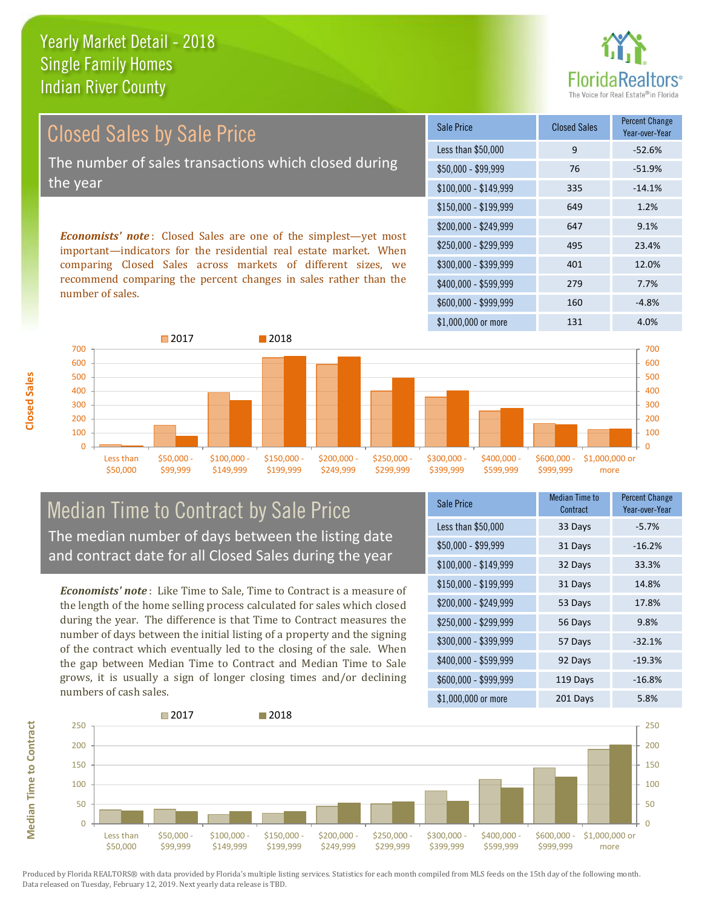

Year-over-Year

#### \$100,000 - \$149,999 335 -14.1% Sale Price Closed Sales Percent Change Less than \$50,000 9 -52.6% \$50,000 - \$99,999 76 -51.9% \$150,000 - \$199,999 649 1.2% \$200,000 - \$249,999 647 9.1% Closed Sales by Sale Price The number of sales transactions which closed during the year

*Economists' note* : Closed Sales are one of the simplest—yet most important—indicators for the residential real estate market. When comparing Closed Sales across markets of different sizes, we recommend comparing the percent changes in sales rather than the number of sales.



#### Median Time to Contract by Sale Price The median number of days between the listing date and contract date for all Closed Sales during the year

*Economists' note* : Like Time to Sale, Time to Contract is a measure of the length of the home selling process calculated for sales which closed during the year. The difference is that Time to Contract measures the number of days between the initial listing of a property and the signing of the contract which eventually led to the closing of the sale. When the gap between Median Time to Contract and Median Time to Sale grows, it is usually a sign of longer closing times and/or declining numbers of cash sales.

| <b>Sale Price</b>     | <b>Median Time to</b><br>Contract | <b>Percent Change</b><br>Year-over-Year |
|-----------------------|-----------------------------------|-----------------------------------------|
| Less than \$50,000    | 33 Days                           | $-5.7%$                                 |
| \$50,000 - \$99,999   | 31 Days                           | $-16.2%$                                |
| $$100,000 - $149,999$ | 32 Days                           | 33.3%                                   |
| $$150,000 - $199,999$ | 31 Days                           | 14.8%                                   |
| $$200,000 - $249,999$ | 53 Days                           | 17.8%                                   |
| $$250,000 - $299,999$ | 56 Days                           | 9.8%                                    |
| \$300,000 - \$399,999 | 57 Days                           | $-32.1%$                                |
| \$400,000 - \$599,999 | 92 Days                           | $-19.3%$                                |
| \$600,000 - \$999,999 | 119 Days                          | $-16.8%$                                |
| \$1,000,000 or more   | 201 Days                          | 5.8%                                    |

\$400,000 - \$599,999 279 7.7%

\$250,000 - \$299,999 495 23.4% \$300,000 - \$399,999 401 12.0%

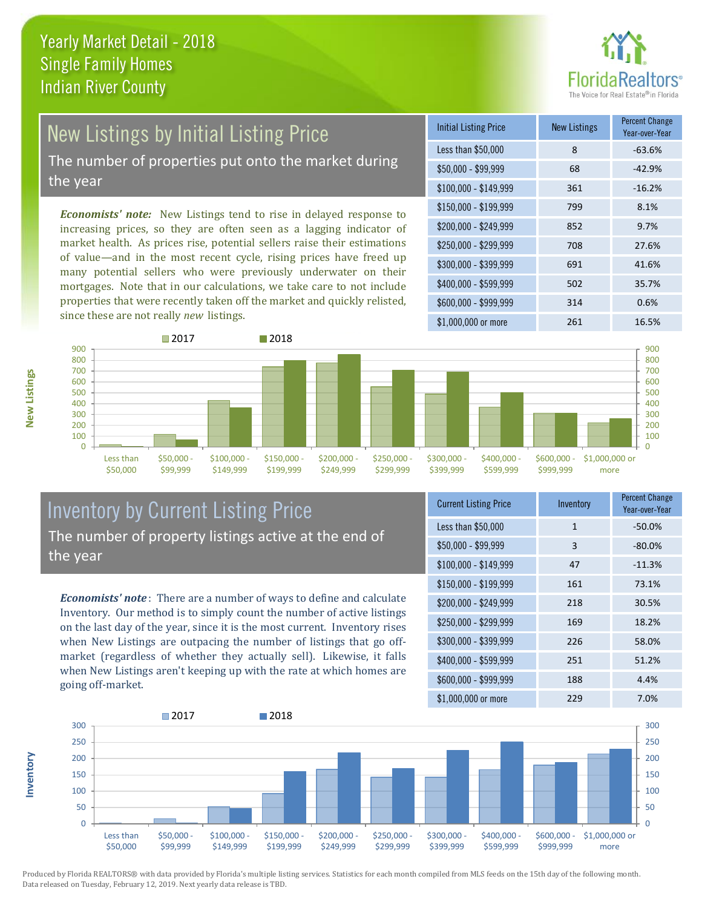

# New Listings by Initial Listing Price

The number of properties put onto the market during the year

*Economists' note:* New Listings tend to rise in delayed response to increasing prices, so they are often seen as a lagging indicator of market health. As prices rise, potential sellers raise their estimations of value—and in the most recent cycle, rising prices have freed up many potential sellers who were previously underwater on their mortgages. Note that in our calculations, we take care to not include properties that were recently taken off the market and quickly relisted, since these are not really *new* listings.

| <b>Initial Listing Price</b> | New Listings | <b>Percent Change</b><br>Year-over-Year |
|------------------------------|--------------|-----------------------------------------|
| Less than \$50,000           | 8            | $-63.6%$                                |
| $$50,000 - $99,999$          | 68           | $-42.9%$                                |
| $$100,000 - $149,999$        | 361          | $-16.2%$                                |
| $$150,000 - $199,999$        | 799          | 8.1%                                    |
| \$200,000 - \$249,999        | 852          | 9.7%                                    |
| \$250,000 - \$299,999        | 708          | 27.6%                                   |
| \$300,000 - \$399,999        | 691          | 41.6%                                   |
| \$400,000 - \$599,999        | 502          | 35.7%                                   |
| \$600,000 - \$999,999        | 314          | 0.6%                                    |
| \$1,000,000 or more          | 261          | 16.5%                                   |



#### Inventory by Current Listing Price The number of property listings active at the end of the year

*Economists' note* : There are a number of ways to define and calculate Inventory. Our method is to simply count the number of active listings on the last day of the year, since it is the most current. Inventory rises when New Listings are outpacing the number of listings that go offmarket (regardless of whether they actually sell). Likewise, it falls when New Listings aren't keeping up with the rate at which homes are going off-market.

| <b>Current Listing Price</b> | Inventory    | Percent Change<br>Year-over-Year |
|------------------------------|--------------|----------------------------------|
| Less than \$50,000           | $\mathbf{1}$ | $-50.0%$                         |
| $$50,000 - $99,999$          | 3            | $-80.0%$                         |
| $$100,000 - $149,999$        | 47           | $-11.3%$                         |
| $$150,000 - $199,999$        | 161          | 73.1%                            |
| \$200,000 - \$249,999        | 218          | 30.5%                            |
| \$250,000 - \$299,999        | 169          | 18.2%                            |
| \$300,000 - \$399,999        | 226          | 58.0%                            |
| \$400,000 - \$599,999        | 251          | 51.2%                            |
| \$600,000 - \$999,999        | 188          | 4.4%                             |
| \$1,000,000 or more          | 229          | 7.0%                             |



Produced by Florida REALTORS® with data provided by Florida's multiple listing services. Statistics for each month compiled from MLS feeds on the 15th day of the following month. Data released on Tuesday, February 12, 2019. Next yearly data release is TBD.

**Inventory**